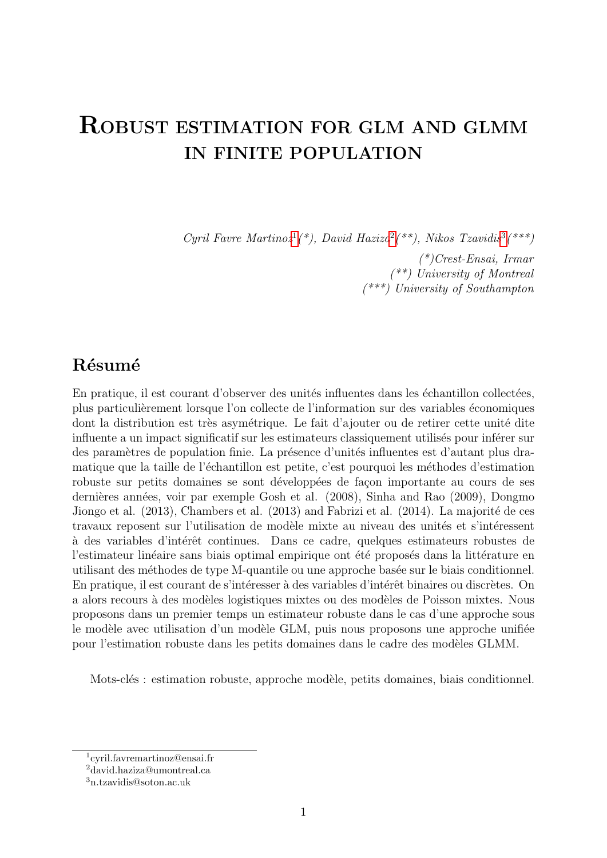# ROBUST ESTIMATION FOR GLM AND GLMM IN FINITE POPULATION

Cyril Favre Martino $z^1$  $z^1$ (\*), David Haziza<sup>[2](#page-0-1)</sup>(\*\*), Nikos Tzavidis<sup>[3](#page-0-2)</sup>(\*\*\*)

(\*)Crest-Ensai, Irmar (\*\*) University of Montreal (\*\*\*) University of Southampton

## Résumé

En pratique, il est courant d'observer des unités influentes dans les échantillon collectées, plus particuli`erement lorsque l'on collecte de l'information sur des variables ´economiques dont la distribution est très asymétrique. Le fait d'ajouter ou de retirer cette unité dite influente a un impact significatif sur les estimateurs classiquement utilisés pour inférer sur des paramètres de population finie. La présence d'unités influentes est d'autant plus dramatique que la taille de l'échantillon est petite, c'est pourquoi les méthodes d'estimation robuste sur petits domaines se sont développées de façon importante au cours de ses dernières années, voir par exemple Gosh et al. (2008), Sinha and Rao (2009), Dongmo Jiongo et al.  $(2013)$ , Chambers et al.  $(2013)$  and Fabrizi et al.  $(2014)$ . La majorité de ces travaux reposent sur l'utilisation de modèle mixte au niveau des unités et s'intéressent à des variables d'intérêt continues. Dans ce cadre, quelques estimateurs robustes de l'estimateur linéaire sans biais optimal empirique ont été proposés dans la littérature en utilisant des méthodes de type M-quantile ou une approche basée sur le biais conditionnel. En pratique, il est courant de s'intéresser à des variables d'intérêt binaires ou discrètes. On a alors recours à des modèles logistiques mixtes ou des modèles de Poisson mixtes. Nous proposons dans un premier temps un estimateur robuste dans le cas d'une approche sous le modèle avec utilisation d'un modèle GLM, puis nous proposons une approche unifiée pour l'estimation robuste dans les petits domaines dans le cadre des modèles GLMM.

Mots-clés : estimation robuste, approche modèle, petits domaines, biais conditionnel.

<span id="page-0-0"></span><sup>1</sup> cyril.favremartinoz@ensai.fr

<span id="page-0-1"></span><sup>2</sup>david.haziza@umontreal.ca

<span id="page-0-2"></span><sup>3</sup>n.tzavidis@soton.ac.uk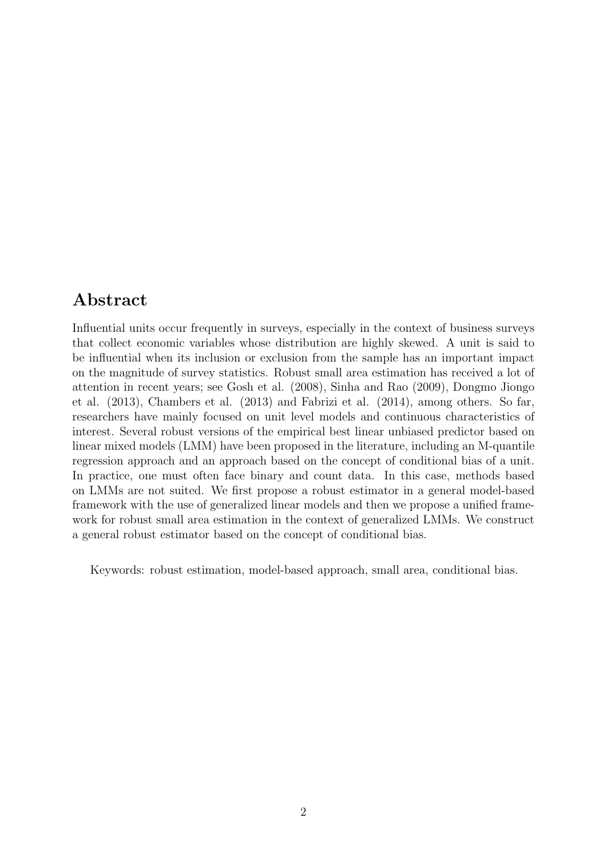## Abstract

Influential units occur frequently in surveys, especially in the context of business surveys that collect economic variables whose distribution are highly skewed. A unit is said to be influential when its inclusion or exclusion from the sample has an important impact on the magnitude of survey statistics. Robust small area estimation has received a lot of attention in recent years; see Gosh et al. (2008), Sinha and Rao (2009), Dongmo Jiongo et al. (2013), Chambers et al. (2013) and Fabrizi et al. (2014), among others. So far, researchers have mainly focused on unit level models and continuous characteristics of interest. Several robust versions of the empirical best linear unbiased predictor based on linear mixed models (LMM) have been proposed in the literature, including an M-quantile regression approach and an approach based on the concept of conditional bias of a unit. In practice, one must often face binary and count data. In this case, methods based on LMMs are not suited. We first propose a robust estimator in a general model-based framework with the use of generalized linear models and then we propose a unified framework for robust small area estimation in the context of generalized LMMs. We construct a general robust estimator based on the concept of conditional bias.

Keywords: robust estimation, model-based approach, small area, conditional bias.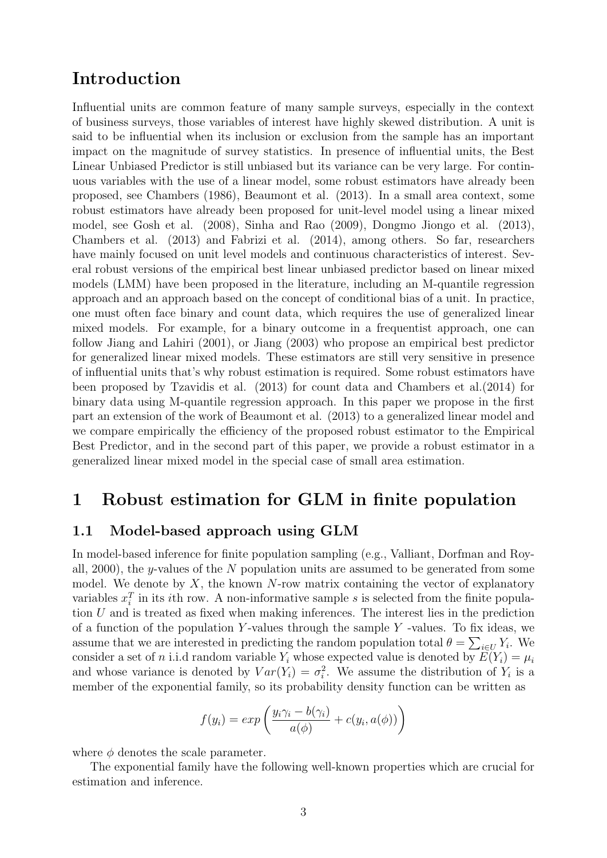## Introduction

Influential units are common feature of many sample surveys, especially in the context of business surveys, those variables of interest have highly skewed distribution. A unit is said to be influential when its inclusion or exclusion from the sample has an important impact on the magnitude of survey statistics. In presence of influential units, the Best Linear Unbiased Predictor is still unbiased but its variance can be very large. For continuous variables with the use of a linear model, some robust estimators have already been proposed, see Chambers (1986), Beaumont et al. (2013). In a small area context, some robust estimators have already been proposed for unit-level model using a linear mixed model, see Gosh et al. (2008), Sinha and Rao (2009), Dongmo Jiongo et al. (2013), Chambers et al. (2013) and Fabrizi et al. (2014), among others. So far, researchers have mainly focused on unit level models and continuous characteristics of interest. Several robust versions of the empirical best linear unbiased predictor based on linear mixed models (LMM) have been proposed in the literature, including an M-quantile regression approach and an approach based on the concept of conditional bias of a unit. In practice, one must often face binary and count data, which requires the use of generalized linear mixed models. For example, for a binary outcome in a frequentist approach, one can follow Jiang and Lahiri (2001), or Jiang (2003) who propose an empirical best predictor for generalized linear mixed models. These estimators are still very sensitive in presence of influential units that's why robust estimation is required. Some robust estimators have been proposed by Tzavidis et al. (2013) for count data and Chambers et al.(2014) for binary data using M-quantile regression approach. In this paper we propose in the first part an extension of the work of Beaumont et al. (2013) to a generalized linear model and we compare empirically the efficiency of the proposed robust estimator to the Empirical Best Predictor, and in the second part of this paper, we provide a robust estimator in a generalized linear mixed model in the special case of small area estimation.

## 1 Robust estimation for GLM in finite population

### 1.1 Model-based approach using GLM

In model-based inference for finite population sampling (e.g., Valliant, Dorfman and Royall,  $2000$ , the y-values of the N population units are assumed to be generated from some model. We denote by  $X$ , the known  $N$ -row matrix containing the vector of explanatory variables  $x_i^T$  in its *i*th row. A non-informative sample *s* is selected from the finite population U and is treated as fixed when making inferences. The interest lies in the prediction of a function of the population Y-values through the sample  $Y$  -values. To fix ideas, we assume that we are interested in predicting the random population total  $\theta = \sum_{i \in U} Y_i$ . We consider a set of n i.i.d random variable  $Y_i$  whose expected value is denoted by  $E(Y_i) = \mu_i$ and whose variance is denoted by  $Var(Y_i) = \sigma_i^2$ . We assume the distribution of  $Y_i$  is a member of the exponential family, so its probability density function can be written as

$$
f(y_i) = exp\left(\frac{y_i \gamma_i - b(\gamma_i)}{a(\phi)} + c(y_i, a(\phi))\right)
$$

where  $\phi$  denotes the scale parameter.

The exponential family have the following well-known properties which are crucial for estimation and inference.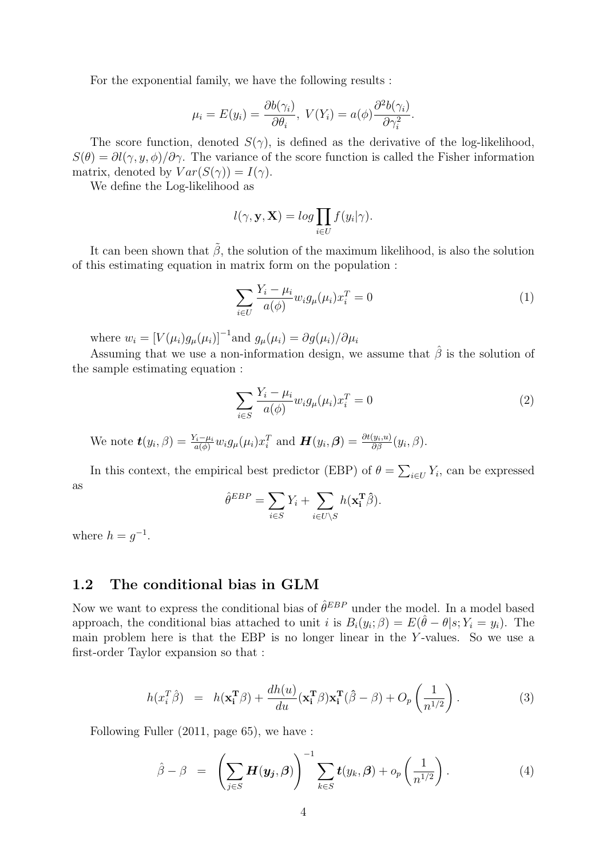For the exponential family, we have the following results :

$$
\mu_i = E(y_i) = \frac{\partial b(\gamma_i)}{\partial \theta_i}, \ V(Y_i) = a(\phi) \frac{\partial^2 b(\gamma_i)}{\partial \gamma_i^2}.
$$

The score function, denoted  $S(\gamma)$ , is defined as the derivative of the log-likelihood,  $S(\theta) = \partial l(\gamma, y, \phi)/\partial \gamma$ . The variance of the score function is called the Fisher information matrix, denoted by  $Var(S(\gamma)) = I(\gamma)$ .

We define the Log-likelihood as

$$
l(\gamma, \mathbf{y}, \mathbf{X}) = \log \prod_{i \in U} f(y_i | \gamma).
$$

It can been shown that  $\tilde{\beta}$ , the solution of the maximum likelihood, is also the solution of this estimating equation in matrix form on the population :

$$
\sum_{i \in U} \frac{Y_i - \mu_i}{a(\phi)} w_i g_\mu(\mu_i) x_i^T = 0 \tag{1}
$$

where  $w_i = [V(\mu_i)g_\mu(\mu_i)]^{-1}$  and  $g_\mu(\mu_i) = \partial g(\mu_i)/\partial \mu_i$ 

Assuming that we use a non-information design, we assume that  $\hat{\beta}$  is the solution of the sample estimating equation :

$$
\sum_{i \in S} \frac{Y_i - \mu_i}{a(\phi)} w_i g_\mu(\mu_i) x_i^T = 0 \tag{2}
$$

We note  $\boldsymbol{t}(y_i, \beta) = \frac{Y_i - \mu_i}{a(\phi)} w_i g_{\mu}(\mu_i) x_i^T$  and  $\boldsymbol{H}(y_i, \beta) = \frac{\partial t(y_i, u)}{\partial \beta}(y_i, \beta)$ .

In this context, the empirical best predictor (EBP) of  $\theta = \sum_{i \in U} Y_i$ , can be expressed as

$$
\hat{\theta}^{EBP} = \sum_{i \in S} Y_i + \sum_{i \in U \setminus S} h(\mathbf{x}_i^{\mathbf{T}} \hat{\beta}).
$$

where  $h = g^{-1}$ .

#### 1.2 The conditional bias in GLM

Now we want to express the conditional bias of  $\hat{\theta}^{EBP}$  under the model. In a model based approach, the conditional bias attached to unit i is  $B_i(y_i; \beta) = E(\hat{\theta} - \theta | s; Y_i = y_i)$ . The main problem here is that the EBP is no longer linear in the Y -values. So we use a first-order Taylor expansion so that :

$$
h(x_i^T \hat{\beta}) = h(\mathbf{x}_i^T \beta) + \frac{dh(u)}{du}(\mathbf{x}_i^T \beta) \mathbf{x}_i^T (\hat{\beta} - \beta) + O_p\left(\frac{1}{n^{1/2}}\right).
$$
 (3)

Following Fuller (2011, page 65), we have :

$$
\hat{\beta} - \beta = \left( \sum_{j \in S} \boldsymbol{H}(\boldsymbol{y}_j, \beta) \right)^{-1} \sum_{k \in S} \boldsymbol{t}(y_k, \beta) + o_p\left( \frac{1}{n^{1/2}} \right).
$$
 (4)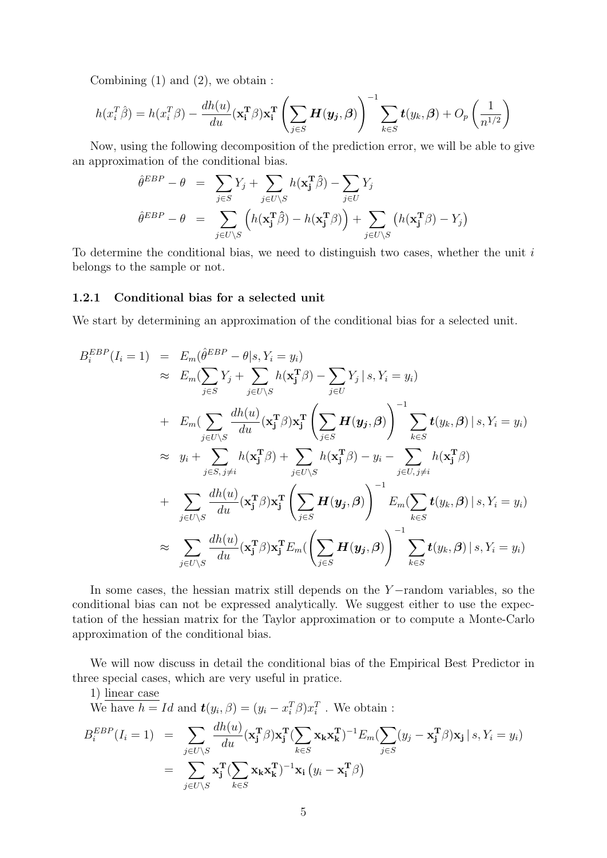Combining  $(1)$  and  $(2)$ , we obtain :

$$
h(x_i^T \hat{\beta}) = h(x_i^T \beta) - \frac{dh(u)}{du} (\mathbf{x_i^T} \beta) \mathbf{x_i^T} \left( \sum_{j \in S} \boldsymbol{H}(\boldsymbol{y_j}, \beta) \right)^{-1} \sum_{k \in S} \boldsymbol{t}(y_k, \beta) + O_p\left(\frac{1}{n^{1/2}}\right)
$$

Now, using the following decomposition of the prediction error, we will be able to give an approximation of the conditional bias.

$$
\hat{\theta}^{EBP} - \theta = \sum_{j \in S} Y_j + \sum_{j \in U \setminus S} h(\mathbf{x}_j^T \hat{\beta}) - \sum_{j \in U} Y_j
$$

$$
\hat{\theta}^{EBP} - \theta = \sum_{j \in U \setminus S} \left( h(\mathbf{x}_j^T \hat{\beta}) - h(\mathbf{x}_j^T \beta) \right) + \sum_{j \in U \setminus S} \left( h(\mathbf{x}_j^T \beta) - Y_j \right)
$$

To determine the conditional bias, we need to distinguish two cases, whether the unit  $i$ belongs to the sample or not.

#### 1.2.1 Conditional bias for a selected unit

We start by determining an approximation of the conditional bias for a selected unit.

$$
B_i^{EBP}(I_i = 1) = E_m(\hat{\theta}^{EBP} - \theta | s, Y_i = y_i)
$$
  
\n
$$
\approx E_m(\sum_{j \in S} Y_j + \sum_{j \in U \setminus S} h(\mathbf{x}_j^T \beta) - \sum_{j \in U} Y_j | s, Y_i = y_i)
$$
  
\n
$$
+ E_m(\sum_{j \in U \setminus S} \frac{dh(u)}{du}(\mathbf{x}_j^T \beta) \mathbf{x}_j^T (\sum_{j \in S} \mathbf{H}(\mathbf{y}_j, \beta)) - \sum_{k \in S} \mathbf{t}(y_k, \beta) | s, Y_i = y_i)
$$
  
\n
$$
\approx y_i + \sum_{j \in S, j \neq i} h(\mathbf{x}_j^T \beta) + \sum_{j \in U \setminus S} h(\mathbf{x}_j^T \beta) - y_i - \sum_{j \in U, j \neq i} h(\mathbf{x}_j^T \beta)
$$
  
\n
$$
+ \sum_{j \in U \setminus S} \frac{dh(u)}{du}(\mathbf{x}_j^T \beta) \mathbf{x}_j^T (\sum_{j \in S} \mathbf{H}(\mathbf{y}_j, \beta)) - \sum_{k \in S} \mathbf{t}(y_k, \beta) | s, Y_i = y_i)
$$
  
\n
$$
\approx \sum_{j \in U \setminus S} \frac{dh(u)}{du}(\mathbf{x}_j^T \beta) \mathbf{x}_j^T E_m(\sum_{j \in S} \mathbf{H}(\mathbf{y}_j, \beta)) - \sum_{k \in S} \mathbf{t}(y_k, \beta) | s, Y_i = y_i)
$$

In some cases, the hessian matrix still depends on the Y −random variables, so the conditional bias can not be expressed analytically. We suggest either to use the expectation of the hessian matrix for the Taylor approximation or to compute a Monte-Carlo approximation of the conditional bias.

We will now discuss in detail the conditional bias of the Empirical Best Predictor in three special cases, which are very useful in pratice.

1) linear case

We have  $h = Id$  and  $\boldsymbol{t}(y_i, \beta) = (y_i - x_i^T \beta) x_i^T$ . We obtain:

$$
B_i^{EBP}(I_i = 1) = \sum_{j \in U \backslash S} \frac{dh(u)}{du} (\mathbf{x}_j^T \boldsymbol{\beta}) \mathbf{x}_j^T (\sum_{k \in S} \mathbf{x}_k \mathbf{x}_k^T)^{-1} E_m (\sum_{j \in S} (y_j - \mathbf{x}_j^T \boldsymbol{\beta}) \mathbf{x}_j | s, Y_i = y_i)
$$
  
= 
$$
\sum_{j \in U \backslash S} \mathbf{x}_j^T (\sum_{k \in S} \mathbf{x}_k \mathbf{x}_k^T)^{-1} \mathbf{x}_i (y_i - \mathbf{x}_i^T \boldsymbol{\beta})
$$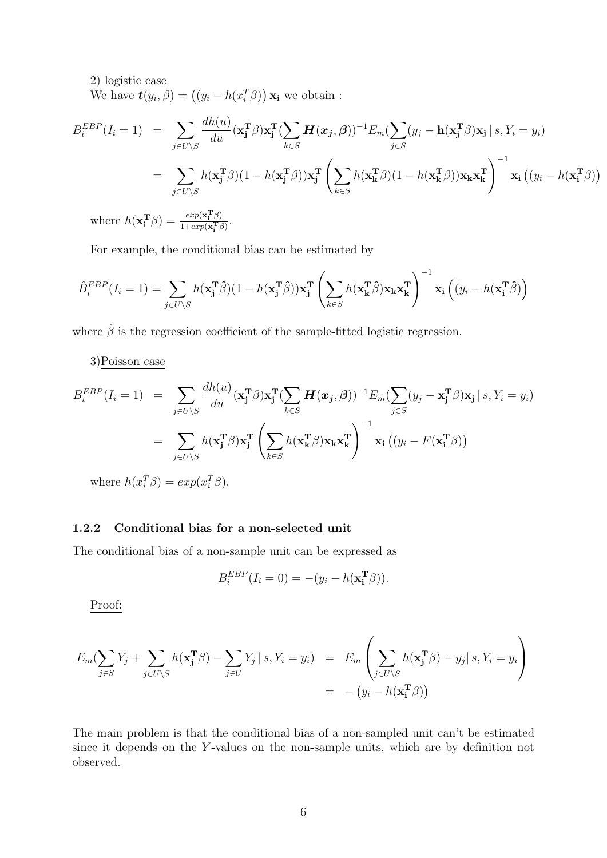2) logistic case We have  $\mathbf{t}(y_i, \beta) = ((y_i - h(x_i^T \beta)) \mathbf{x_i}$  we obtain:

$$
B_i^{EBP}(I_i = 1) = \sum_{j \in U \backslash S} \frac{dh(u)}{du} (\mathbf{x}_j^T \boldsymbol{\beta}) \mathbf{x}_j^T (\sum_{k \in S} \mathbf{H}(\mathbf{x}_j, \boldsymbol{\beta}))^{-1} E_m (\sum_{j \in S} (y_j - \mathbf{h}(\mathbf{x}_j^T \boldsymbol{\beta}) \mathbf{x}_j \mid s, Y_i = y_i)
$$
  
\n
$$
= \sum_{j \in U \backslash S} h(\mathbf{x}_j^T \boldsymbol{\beta}) (1 - h(\mathbf{x}_j^T \boldsymbol{\beta})) \mathbf{x}_j^T \left( \sum_{k \in S} h(\mathbf{x}_k^T \boldsymbol{\beta}) (1 - h(\mathbf{x}_k^T \boldsymbol{\beta})) \mathbf{x}_k \mathbf{x}_k^T \right)^{-1} \mathbf{x}_i ((y_i - h(\mathbf{x}_i^T \boldsymbol{\beta}))
$$
  
\nwhere  $h(\mathbf{x}_i^T \boldsymbol{\beta}) = \frac{exp(\mathbf{x}_i^T \boldsymbol{\beta})}{1 + exp(\mathbf{x}_i^T \boldsymbol{\beta})}$ .

For example, the conditional bias can be estimated by

$$
\hat{B}_{i}^{EBP}(I_{i} = 1) = \sum_{j \in U \backslash S} h(\mathbf{x}_{j}^{T}\hat{\beta})(1 - h(\mathbf{x}_{j}^{T}\hat{\beta}))\mathbf{x}_{j}^{T} \left(\sum_{k \in S} h(\mathbf{x}_{k}^{T}\hat{\beta})\mathbf{x}_{k}\mathbf{x}_{k}^{T}\right)^{-1}\mathbf{x}_{i} \left((y_{i} - h(\mathbf{x}_{i}^{T}\hat{\beta})\right)
$$

where  $\hat{\beta}$  is the regression coefficient of the sample-fitted logistic regression.

#### 3)Poisson case

$$
B_i^{EBP}(I_i = 1) = \sum_{j \in U \backslash S} \frac{dh(u)}{du} (\mathbf{x}_j^T \boldsymbol{\beta}) \mathbf{x}_j^T (\sum_{k \in S} \boldsymbol{H}(\boldsymbol{x}_j, \boldsymbol{\beta}))^{-1} E_m (\sum_{j \in S} (y_j - \mathbf{x}_j^T \boldsymbol{\beta}) \mathbf{x}_j | s, Y_i = y_i)
$$
  

$$
= \sum_{j \in U \backslash S} h(\mathbf{x}_j^T \boldsymbol{\beta}) \mathbf{x}_j^T (\sum_{k \in S} h(\mathbf{x}_k^T \boldsymbol{\beta}) \mathbf{x}_k \mathbf{x}_k^T)^{-1} \mathbf{x}_i ((y_i - F(\mathbf{x}_i^T \boldsymbol{\beta}))
$$

where  $h(x_i^T \beta) = exp(x_i^T \beta)$ .

#### 1.2.2 Conditional bias for a non-selected unit

The conditional bias of a non-sample unit can be expressed as

$$
B_i^{EBP}(I_i = 0) = -(y_i - h(\mathbf{x_i^T}\beta)).
$$

Proof:

$$
E_m(\sum_{j\in S} Y_j + \sum_{j\in U\setminus S} h(\mathbf{x}_j^{\mathbf{T}}\beta) - \sum_{j\in U} Y_j | s, Y_i = y_i) = E_m\left(\sum_{j\in U\setminus S} h(\mathbf{x}_j^{\mathbf{T}}\beta) - y_j | s, Y_i = y_i\right)
$$
  
= 
$$
-(y_i - h(\mathbf{x}_i^{\mathbf{T}}\beta))
$$

The main problem is that the conditional bias of a non-sampled unit can't be estimated since it depends on the Y-values on the non-sample units, which are by definition not observed.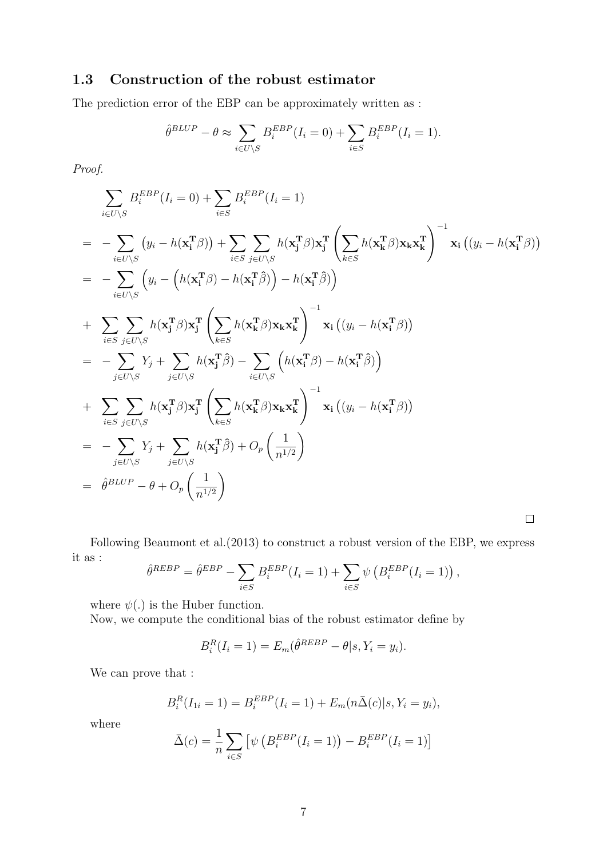### 1.3 Construction of the robust estimator

The prediction error of the EBP can be approximately written as :

$$
\hat{\theta}^{BLUP} - \theta \approx \sum_{i \in U \backslash S} B_i^{EBP} (I_i = 0) + \sum_{i \in S} B_i^{EBP} (I_i = 1).
$$

Proof.

$$
\sum_{i\in U\backslash S} B_i^{EBP}(I_i = 0) + \sum_{i\in S} B_i^{EBP}(I_i = 1)
$$
\n
$$
= -\sum_{i\in U\backslash S} (y_i - h(\mathbf{x}_1^T \beta)) + \sum_{i\in S} \sum_{j\in U\backslash S} h(\mathbf{x}_j^T \beta) \mathbf{x}_j^T \left( \sum_{k\in S} h(\mathbf{x}_k^T \beta) \mathbf{x}_k \mathbf{x}_k^T \right)^{-1} \mathbf{x}_1 ((y_i - h(\mathbf{x}_1^T \beta))
$$
\n
$$
= -\sum_{i\in U\backslash S} (y_i - (h(\mathbf{x}_1^T \beta) - h(\mathbf{x}_1^T \beta)) - h(\mathbf{x}_1^T \beta))
$$
\n
$$
+ \sum_{i\in S} \sum_{j\in U\backslash S} h(\mathbf{x}_j^T \beta) \mathbf{x}_j^T \left( \sum_{k\in S} h(\mathbf{x}_k^T \beta) \mathbf{x}_k \mathbf{x}_k^T \right)^{-1} \mathbf{x}_1 ((y_i - h(\mathbf{x}_1^T \beta))
$$
\n
$$
= -\sum_{j\in U\backslash S} Y_j + \sum_{j\in U\backslash S} h(\mathbf{x}_j^T \beta) - \sum_{i\in U\backslash S} (h(\mathbf{x}_i^T \beta) - h(\mathbf{x}_i^T \beta))
$$
\n
$$
+ \sum_{i\in S} \sum_{j\in U\backslash S} h(\mathbf{x}_j^T \beta) \mathbf{x}_j^T \left( \sum_{k\in S} h(\mathbf{x}_k^T \beta) \mathbf{x}_k \mathbf{x}_k^T \right)^{-1} \mathbf{x}_i ((y_i - h(\mathbf{x}_i^T \beta))
$$
\n
$$
= -\sum_{j\in U\backslash S} Y_j + \sum_{j\in U\backslash S} h(\mathbf{x}_j^T \beta) + O_p \left( \frac{1}{n^{1/2}} \right)
$$
\n
$$
= \hat{\theta}^{BLUP} - \theta + O_p \left( \frac{1}{n^{1/2}} \right)
$$

Following Beaumont et al.(2013) to construct a robust version of the EBP, we express it as :  $\hat{\theta}$ 

$$
REBP = \hat{\theta}^{EBP} - \sum_{i \in S} B_i^{EBP} (I_i = 1) + \sum_{i \in S} \psi (B_i^{EBP} (I_i = 1)),
$$

where  $\psi(.)$  is the Huber function.

Now, we compute the conditional bias of the robust estimator define by

$$
B_i^R(I_i = 1) = E_m(\hat{\theta}^{REBP} - \theta | s, Y_i = y_i).
$$

We can prove that :

$$
B_i^R(I_{1i} = 1) = B_i^{EBP}(I_i = 1) + E_m(n\bar{\Delta}(c)|s, Y_i = y_i),
$$

where

$$
\bar{\Delta}(c) = \frac{1}{n} \sum_{i \in S} \left[ \psi \left( B_i^{EBP}(I_i = 1) \right) - B_i^{EBP}(I_i = 1) \right]
$$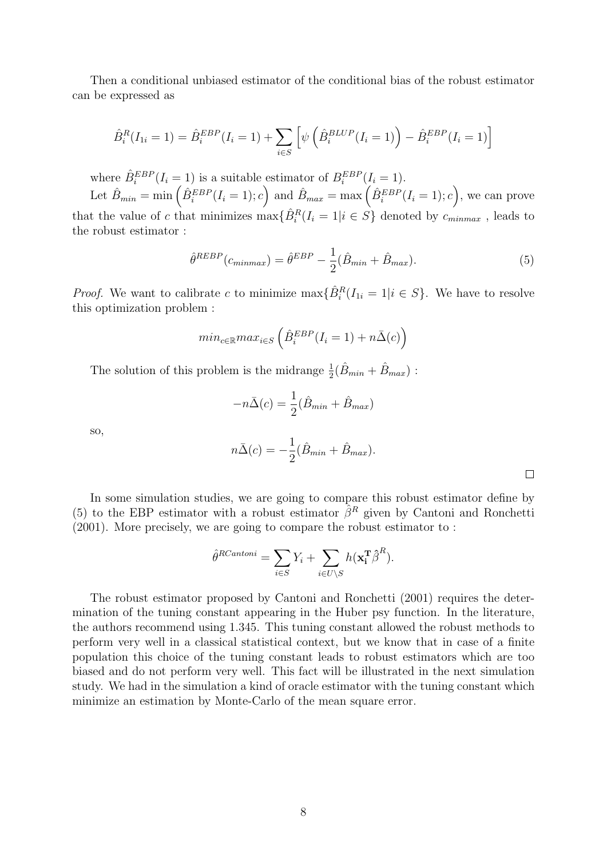Then a conditional unbiased estimator of the conditional bias of the robust estimator can be expressed as

$$
\hat{B}_i^R(I_{1i} = 1) = \hat{B}_i^{EBP}(I_i = 1) + \sum_{i \in S} \left[ \psi \left( \hat{B}_i^{BLUP}(I_i = 1) \right) - \hat{B}_i^{EBP}(I_i = 1) \right]
$$

where  $\hat{B}_i^{EBP}(I_i = 1)$  is a suitable estimator of  $B_i^{EBP}(I_i = 1)$ . Let  $\hat{B}_{min} = \min\left(\hat{B}_{i}^{EBP}(I_i = 1); c\right)$  and  $\hat{B}_{max} = \max\left(\hat{B}_{i}^{EBP}(I_i = 1); c\right)$ , we can prove that the value of c that minimizes  $\max{\{\hat{B}_{i}^{R}(I_{i}=1|i \in S\}}$  denoted by  $c_{minmax}$ , leads to the robust estimator :

$$
\hat{\theta}^{REBP}(c_{minmax}) = \hat{\theta}^{EBP} - \frac{1}{2}(\hat{B}_{min} + \hat{B}_{max}).
$$
\n(5)

*Proof.* We want to calibrate c to minimize  $\max{\{\hat{B}_{i}^{R}(I_{1i} = 1 | i \in S)\}}$ . We have to resolve this optimization problem :

$$
min_{c \in \mathbb{R}} max_{i \in S} \left( \hat{B}_i^{EBP} (I_i = 1) + n\bar{\Delta}(c) \right)
$$

The solution of this problem is the midrange  $\frac{1}{2}(\hat{B}_{min} + \hat{B}_{max})$ :

$$
-n\bar{\Delta}(c) = \frac{1}{2}(\hat{B}_{min} + \hat{B}_{max})
$$

so,

$$
n\bar{\Delta}(c) = -\frac{1}{2}(\hat{B}_{min} + \hat{B}_{max}).
$$

 $\Box$ 

In some simulation studies, we are going to compare this robust estimator define by (5) to the EBP estimator with a robust estimator  $\hat{\beta}^R$  given by Cantoni and Ronchetti (2001). More precisely, we are going to compare the robust estimator to :

$$
\hat{\theta}^{RCantoni} = \sum_{i \in S} Y_i + \sum_{i \in U \setminus S} h(\mathbf{x}_i^{\mathbf{T}} \hat{\beta}^R).
$$

The robust estimator proposed by Cantoni and Ronchetti (2001) requires the determination of the tuning constant appearing in the Huber psy function. In the literature, the authors recommend using 1.345. This tuning constant allowed the robust methods to perform very well in a classical statistical context, but we know that in case of a finite population this choice of the tuning constant leads to robust estimators which are too biased and do not perform very well. This fact will be illustrated in the next simulation study. We had in the simulation a kind of oracle estimator with the tuning constant which minimize an estimation by Monte-Carlo of the mean square error.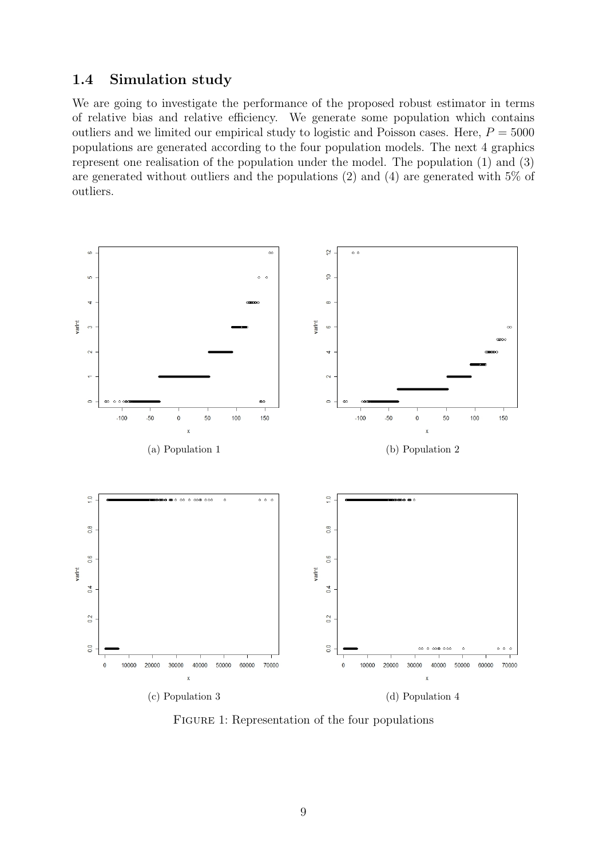### 1.4 Simulation study

We are going to investigate the performance of the proposed robust estimator in terms of relative bias and relative efficiency. We generate some population which contains outliers and we limited our empirical study to logistic and Poisson cases. Here,  $P = 5000$ populations are generated according to the four population models. The next 4 graphics represent one realisation of the population under the model. The population (1) and (3) are generated without outliers and the populations (2) and (4) are generated with 5% of outliers.



FIGURE 1: Representation of the four populations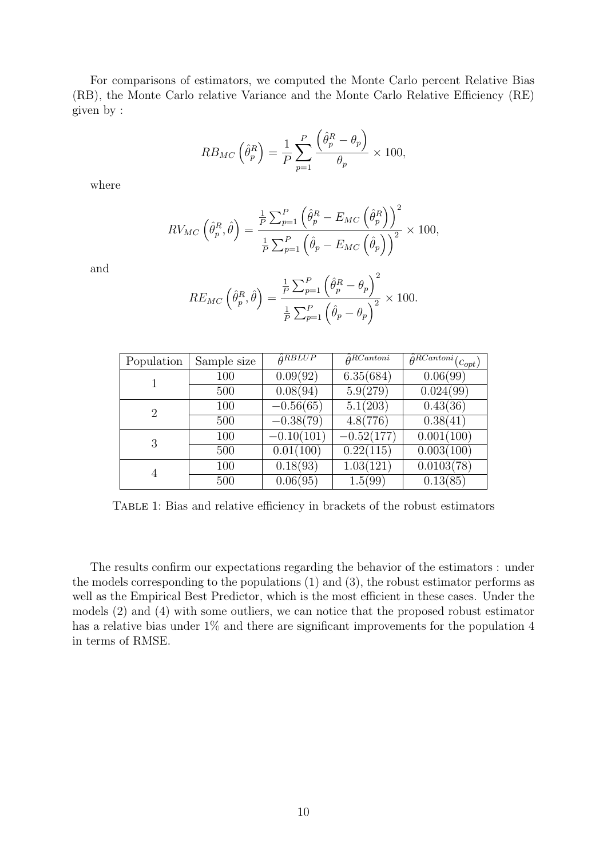For comparisons of estimators, we computed the Monte Carlo percent Relative Bias (RB), the Monte Carlo relative Variance and the Monte Carlo Relative Efficiency (RE) given by :

$$
RB_{MC} \left(\hat{\theta}_p^R\right) = \frac{1}{P} \sum_{p=1}^P \frac{\left(\hat{\theta}_p^R - \theta_p\right)}{\theta_p} \times 100,
$$

where

$$
RV_{MC} \left( \hat{\theta}_p^R, \hat{\theta} \right) = \frac{\frac{1}{P} \sum_{p=1}^P \left( \hat{\theta}_p^R - E_{MC} \left( \hat{\theta}_p^R \right) \right)^2}{\frac{1}{P} \sum_{p=1}^P \left( \hat{\theta}_p - E_{MC} \left( \hat{\theta}_p \right) \right)^2} \times 100,
$$

and

$$
RE_{MC} \left( \hat{\theta}_p^R, \hat{\theta} \right) = \frac{\frac{1}{P} \sum_{p=1}^P \left( \hat{\theta}_p^R - \theta_p \right)^2}{\frac{1}{P} \sum_{p=1}^P \left( \hat{\theta}_p - \theta_p \right)^2} \times 100.
$$

| Population     | Sample size | $\hat{\theta}$ RBLUP  | $\hat{\theta}^{RCantoni}$ | $\overline{\hat{\theta}^{RCantoni}}(c_{opt})$ |
|----------------|-------------|-----------------------|---------------------------|-----------------------------------------------|
|                | 100         | 0.09(92)              | 6.35(684)                 | 0.06(99)                                      |
|                | 500         | 0.08(94)              | 5.9(279)                  | 0.024(99)                                     |
| $\overline{2}$ | 100         | $-0.56(65)$           | 5.1(203)                  | 0.43(36)                                      |
|                | 500         | $-0.38(79)$           | 4.8(776)                  | 0.38(41)                                      |
| 3              | 100         | $-0.10(101)$          | $-0.52(177)$              | 0.001(100)                                    |
|                | 500         | 0.01(100)             | 0.22(115)                 | 0.003(100)                                    |
|                | 100         | 0.18(93)              | 1.03(121)                 | 0.0103(78)                                    |
|                | 500         | $0.\overline{06(95)}$ | 1.5(99)                   | 0.13(85)                                      |

Table 1: Bias and relative efficiency in brackets of the robust estimators

The results confirm our expectations regarding the behavior of the estimators : under the models corresponding to the populations (1) and (3), the robust estimator performs as well as the Empirical Best Predictor, which is the most efficient in these cases. Under the models (2) and (4) with some outliers, we can notice that the proposed robust estimator has a relative bias under  $1\%$  and there are significant improvements for the population 4 in terms of RMSE.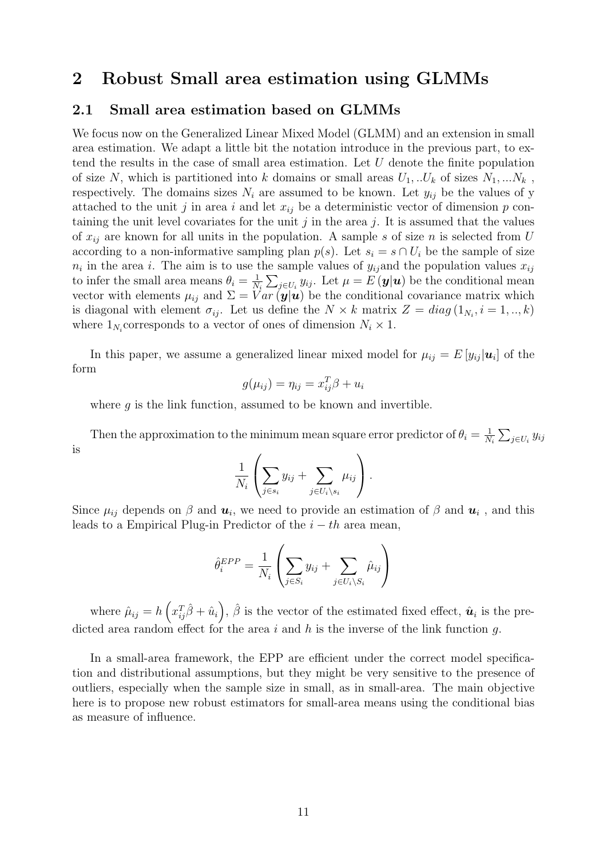### 2 Robust Small area estimation using GLMMs

#### 2.1 Small area estimation based on GLMMs

We focus now on the Generalized Linear Mixed Model (GLMM) and an extension in small area estimation. We adapt a little bit the notation introduce in the previous part, to extend the results in the case of small area estimation. Let U denote the finite population of size N, which is partitioned into k domains or small areas  $U_1, \ldots, U_k$  of sizes  $N_1, \ldots, N_k$ , respectively. The domains sizes  $N_i$  are assumed to be known. Let  $y_{ij}$  be the values of y attached to the unit j in area i and let  $x_{ij}$  be a deterministic vector of dimension p containing the unit level covariates for the unit  $j$  in the area  $j$ . It is assumed that the values of  $x_{ij}$  are known for all units in the population. A sample s of size n is selected from U according to a non-informative sampling plan  $p(s)$ . Let  $s_i = s \cap U_i$  be the sample of size  $n_i$  in the area i. The aim is to use the sample values of  $y_{ij}$  and the population values  $x_{ij}$ to infer the small area means  $\theta_i = \frac{1}{N}$  $\frac{1}{N_i} \sum_{j \in U_i} y_{ij}$ . Let  $\mu = E(\mathbf{y}|\mathbf{u})$  be the conditional mean vector with elements  $\mu_{ij}$  and  $\Sigma = \overline{Var}(\mathbf{y}|\mathbf{u})$  be the conditional covariance matrix which is diagonal with element  $\sigma_{ij}$ . Let us define the  $N \times k$  matrix  $Z = diag(1_{N_i}, i = 1, ..., k)$ where  $1_{N_i}$  corresponds to a vector of ones of dimension  $N_i \times 1$ .

In this paper, we assume a generalized linear mixed model for  $\mu_{ij} = E[y_{ij} | \boldsymbol{u}_i]$  of the form

$$
g(\mu_{ij}) = \eta_{ij} = x_{ij}^T \beta + u_i
$$

where  $g$  is the link function, assumed to be known and invertible.

Then the approximation to the minimum mean square error predictor of  $\theta_i = \frac{1}{N}$  $\frac{1}{N_i}\sum_{j\in U_i}y_{ij}$ is

$$
\frac{1}{N_i}\left(\sum_{j\in s_i}y_{ij}+\sum_{j\in U_i\setminus s_i}\mu_{ij}\right).
$$

Since  $\mu_{ij}$  depends on  $\beta$  and  $\mathbf{u}_i$ , we need to provide an estimation of  $\beta$  and  $\mathbf{u}_i$ , and this leads to a Empirical Plug-in Predictor of the  $i - th$  area mean,

$$
\hat{\theta}_i^{EPP} = \frac{1}{N_i} \left( \sum_{j \in S_i} y_{ij} + \sum_{j \in U_i \backslash S_i} \hat{\mu}_{ij} \right)
$$

where  $\hat{\mu}_{ij} = h\left(x_{ij}^T\hat{\beta} + \hat{u}_i\right), \hat{\beta}$  is the vector of the estimated fixed effect,  $\hat{\mathbf{u}}_i$  is the predicted area random effect for the area  $i$  and  $h$  is the inverse of the link function  $q$ .

In a small-area framework, the EPP are efficient under the correct model specification and distributional assumptions, but they might be very sensitive to the presence of outliers, especially when the sample size in small, as in small-area. The main objective here is to propose new robust estimators for small-area means using the conditional bias as measure of influence.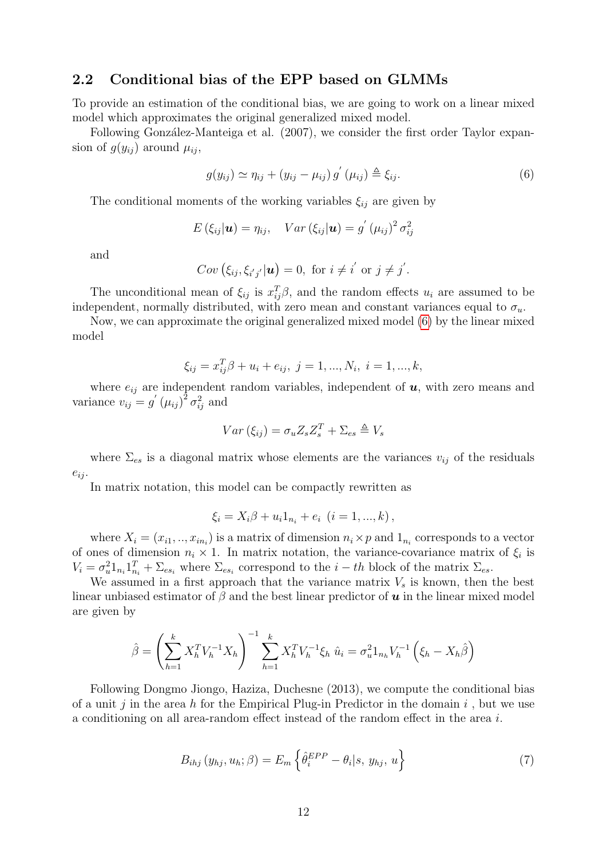### 2.2 Conditional bias of the EPP based on GLMMs

To provide an estimation of the conditional bias, we are going to work on a linear mixed model which approximates the original generalized mixed model.

Following González-Manteiga et al. (2007), we consider the first order Taylor expansion of  $g(y_{ij})$  around  $\mu_{ij}$ ,

<span id="page-11-0"></span>
$$
g(y_{ij}) \simeq \eta_{ij} + (y_{ij} - \mu_{ij}) g'(\mu_{ij}) \triangleq \xi_{ij}.
$$
\n
$$
(6)
$$

The conditional moments of the working variables  $\xi_{ij}$  are given by

$$
E(\xi_{ij}|\mathbf{u}) = \eta_{ij}, \quad Var(\xi_{ij}|\mathbf{u}) = g'(\mu_{ij})^2 \sigma_{ij}^2
$$

and

$$
Cov\left(\xi_{ij},\xi_{i'j'}|\mathbf{u}\right)=0, \text{ for } i\neq i' \text{ or } j\neq j'.
$$

The unconditional mean of  $\xi_{ij}$  is  $x_{ij}^T \beta$ , and the random effects  $u_i$  are assumed to be independent, normally distributed, with zero mean and constant variances equal to  $\sigma_u$ .

Now, we can approximate the original generalized mixed model [\(6\)](#page-11-0) by the linear mixed model

$$
\xi_{ij} = x_{ij}^T \beta + u_i + e_{ij}, \ j = 1, ..., N_i, \ i = 1, ..., k,
$$

where  $e_{ij}$  are independent random variables, independent of  $u$ , with zero means and variance  $v_{ij} = g'(\mu_{ij})^2 \sigma_{ij}^2$  and

$$
Var\left(\xi_{ij}\right) = \sigma_u Z_s Z_s^T + \Sigma_{es} \triangleq V_s
$$

where  $\Sigma_{es}$  is a diagonal matrix whose elements are the variances  $v_{ij}$  of the residuals  $e_{ij}$ .

In matrix notation, this model can be compactly rewritten as

$$
\xi_i = X_i \beta + u_i 1_{n_i} + e_i \ (i = 1, ..., k),
$$

where  $X_i = (x_{i1}, ..., x_{in_i})$  is a matrix of dimension  $n_i \times p$  and  $1_{n_i}$  corresponds to a vector of ones of dimension  $n_i \times 1$ . In matrix notation, the variance-covariance matrix of  $\xi_i$  is  $V_i = \sigma_u^2 \mathbb{1}_{n_i} \mathbb{1}_{n_i}^T + \Sigma_{es_i}$  where  $\Sigma_{es_i}$  correspond to the  $i-th$  block of the matrix  $\Sigma_{es}$ .

We assumed in a first approach that the variance matrix  $V_s$  is known, then the best linear unbiased estimator of  $\beta$  and the best linear predictor of  $\boldsymbol{u}$  in the linear mixed model are given by

$$
\hat{\beta} = \left(\sum_{h=1}^{k} X_h^T V_h^{-1} X_h\right)^{-1} \sum_{h=1}^{k} X_h^T V_h^{-1} \xi_h \ \hat{u}_i = \sigma_u^2 \mathbb{1}_{n_h} V_h^{-1} \left(\xi_h - X_h \hat{\beta}\right)
$$

Following Dongmo Jiongo, Haziza, Duchesne (2013), we compute the conditional bias of a unit j in the area h for the Empirical Plug-in Predictor in the domain i, but we use a conditioning on all area-random effect instead of the random effect in the area i.

<span id="page-11-1"></span>
$$
B_{ihj}(y_{hj}, u_h; \beta) = E_m \left\{ \hat{\theta}_i^{EPP} - \theta_i | s, y_{hj}, u \right\} \tag{7}
$$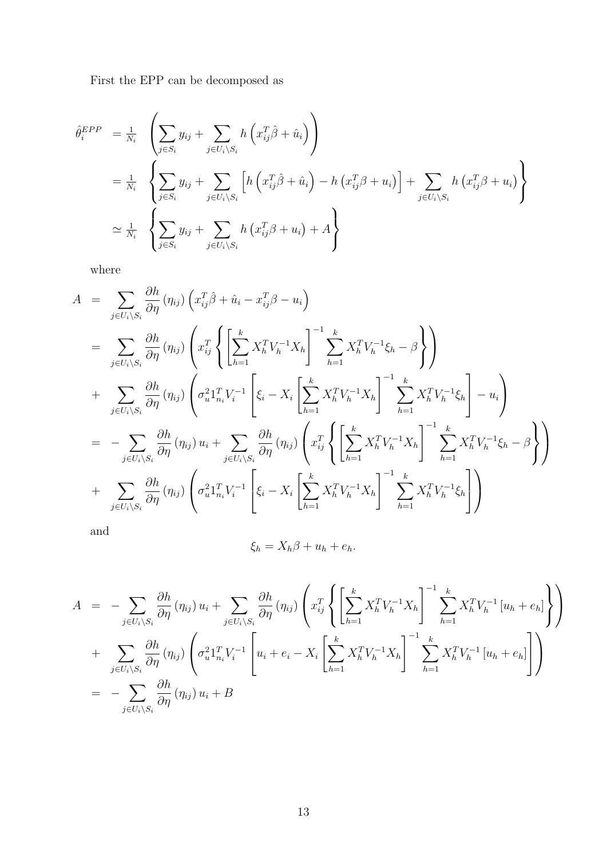First the EPP can be decomposed as

$$
\hat{\theta}_i^{EPP} = \frac{1}{N_i} \left( \sum_{j \in S_i} y_{ij} + \sum_{j \in U_i \setminus S_i} h\left(x_{ij}^T \hat{\beta} + \hat{u}_i\right) \right)
$$
  
\n
$$
= \frac{1}{N_i} \left\{ \sum_{j \in S_i} y_{ij} + \sum_{j \in U_i \setminus S_i} \left[ h\left(x_{ij}^T \hat{\beta} + \hat{u}_i\right) - h\left(x_{ij}^T \beta + u_i\right) \right] + \sum_{j \in U_i \setminus S_i} h\left(x_{ij}^T \beta + u_i\right) \right\}
$$
  
\n
$$
\simeq \frac{1}{N_i} \left\{ \sum_{j \in S_i} y_{ij} + \sum_{j \in U_i \setminus S_i} h\left(x_{ij}^T \beta + u_i\right) + A \right\}
$$

where

$$
A = \sum_{j \in U_i \setminus S_i} \frac{\partial h}{\partial \eta} (\eta_{ij}) \left( x_{ij}^T \hat{\beta} + \hat{u}_i - x_{ij}^T \beta - u_i \right)
$$
  
\n
$$
= \sum_{j \in U_i \setminus S_i} \frac{\partial h}{\partial \eta} (\eta_{ij}) \left( x_{ij}^T \left\{ \left[ \sum_{h=1}^k X_h^T V_h^{-1} X_h \right]^{-1} \sum_{h=1}^k X_h^T V_h^{-1} \xi_h - \beta \right\} \right)
$$
  
\n
$$
+ \sum_{j \in U_i \setminus S_i} \frac{\partial h}{\partial \eta} (\eta_{ij}) \left( \sigma_u^2 1_{n_i}^T V_i^{-1} \left[ \xi_i - X_i \left[ \sum_{h=1}^k X_h^T V_h^{-1} X_h \right]^{-1} \sum_{h=1}^k X_h^T V_h^{-1} \xi_h \right] - u_i \right)
$$
  
\n
$$
= - \sum_{j \in U_i \setminus S_i} \frac{\partial h}{\partial \eta} (\eta_{ij}) u_i + \sum_{j \in U_i \setminus S_i} \frac{\partial h}{\partial \eta} (\eta_{ij}) \left( x_{ij}^T \left\{ \left[ \sum_{h=1}^k X_h^T V_h^{-1} X_h \right]^{-1} \sum_{h=1}^k X_h^T V_h^{-1} \xi_h - \beta \right\} \right)
$$
  
\n
$$
+ \sum_{j \in U_i \setminus S_i} \frac{\partial h}{\partial \eta} (\eta_{ij}) \left( \sigma_u^2 1_{n_i}^T V_i^{-1} \left[ \xi_i - X_i \left[ \sum_{h=1}^k X_h^T V_h^{-1} X_h \right]^{-1} \sum_{h=1}^k X_h^T V_h^{-1} \xi_h \right] \right)
$$

and

$$
\xi_h = X_h \beta + u_h + e_h.
$$

$$
A = -\sum_{j \in U_i \backslash S_i} \frac{\partial h}{\partial \eta} (\eta_{ij}) u_i + \sum_{j \in U_i \backslash S_i} \frac{\partial h}{\partial \eta} (\eta_{ij}) \left( x_{ij}^T \left\{ \left[ \sum_{h=1}^k X_h^T V_h^{-1} X_h \right]^{-1} \sum_{h=1}^k X_h^T V_h^{-1} [u_h + e_h] \right\} \right)
$$
  
+ 
$$
\sum_{j \in U_i \backslash S_i} \frac{\partial h}{\partial \eta} (\eta_{ij}) \left( \sigma_u^2 1_{n_i}^T V_i^{-1} \left[ u_i + e_i - X_i \left[ \sum_{h=1}^k X_h^T V_h^{-1} X_h \right]^{-1} \sum_{h=1}^k X_h^T V_h^{-1} [u_h + e_h] \right] \right)
$$
  
= 
$$
- \sum_{j \in U_i \backslash S_i} \frac{\partial h}{\partial \eta} (\eta_{ij}) u_i + B
$$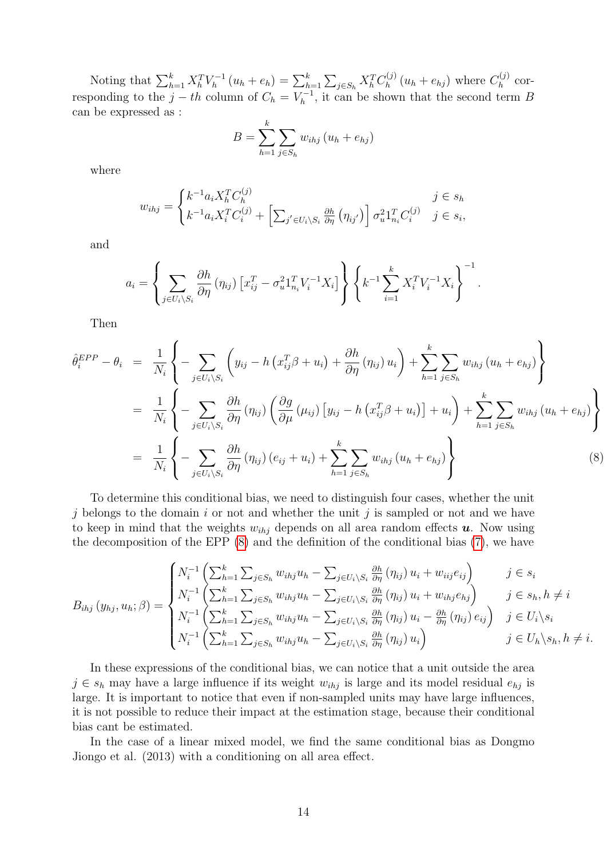Noting that  $\sum_{h=1}^{k} X_h^T V_h^{-1}$  $\sum_{h=1}^{k} (u_h + e_h) = \sum_{h=1}^{k} \sum_{j \in S_h} X_h^T C_h^{(j)}$  $n_h^{(j)}(u_h+e_{hj})$  where  $C_h^{(j)}$  $\int_h^{(J)}$  corresponding to the  $j-th$  column of  $C_h = V_h^{-1}$  $h_h^{r-1}$ , it can be shown that the second term B can be expressed as :

$$
B = \sum_{h=1}^{k} \sum_{j \in S_h} w_{ihj} (u_h + e_{hj})
$$

where

$$
w_{ihj} = \begin{cases} k^{-1} a_i X_h^T C_h^{(j)} & j \in s_h \\ k^{-1} a_i X_i^T C_i^{(j)} + \left[ \sum_{j' \in U_i \setminus S_i} \frac{\partial h}{\partial \eta} \left( \eta_{ij'} \right) \right] \sigma_u^2 \mathbf{1}_{n_i}^T C_i^{(j)} & j \in s_i, \end{cases}
$$

and

$$
a_i = \left\{ \sum_{j \in U_i \setminus S_i} \frac{\partial h}{\partial \eta} (\eta_{ij}) \left[ x_{ij}^T - \sigma_u^2 \mathbf{1}_{n_i}^T V_i^{-1} X_i \right] \right\} \left\{ k^{-1} \sum_{i=1}^k X_i^T V_i^{-1} X_i \right\}^{-1}.
$$

Then

<span id="page-13-0"></span>
$$
\hat{\theta}_{i}^{EPP} - \theta_{i} = \frac{1}{N_{i}} \left\{ -\sum_{j \in U_{i} \backslash S_{i}} \left( y_{ij} - h \left( x_{ij}^{T} \beta + u_{i} \right) + \frac{\partial h}{\partial \eta} \left( \eta_{ij} \right) u_{i} \right) + \sum_{h=1}^{k} \sum_{j \in S_{h}} w_{ihj} \left( u_{h} + e_{hj} \right) \right\}
$$
\n
$$
= \frac{1}{N_{i}} \left\{ -\sum_{j \in U_{i} \backslash S_{i}} \frac{\partial h}{\partial \eta} \left( \eta_{ij} \right) \left( \frac{\partial g}{\partial \mu} \left( \mu_{ij} \right) \left[ y_{ij} - h \left( x_{ij}^{T} \beta + u_{i} \right) \right] + u_{i} \right) + \sum_{h=1}^{k} \sum_{j \in S_{h}} w_{ihj} \left( u_{h} + e_{hj} \right) \right\}
$$
\n
$$
= \frac{1}{N_{i}} \left\{ -\sum_{j \in U_{i} \backslash S_{i}} \frac{\partial h}{\partial \eta} \left( \eta_{ij} \right) \left( e_{ij} + u_{i} \right) + \sum_{h=1}^{k} \sum_{j \in S_{h}} w_{ihj} \left( u_{h} + e_{hj} \right) \right\}
$$
\n(8)

To determine this conditional bias, we need to distinguish four cases, whether the unit j belongs to the domain i or not and whether the unit j is sampled or not and we have to keep in mind that the weights  $w_{ihj}$  depends on all area random effects  $u$ . Now using the decomposition of the EPP [\(8\)](#page-13-0) and the definition of the conditional bias [\(7\)](#page-11-1), we have

$$
B_{ihj}(y_{hj}, u_h; \beta) = \begin{cases} N_i^{-1} \left( \sum_{h=1}^k \sum_{j \in S_h} w_{ihj} u_h - \sum_{j \in U_i \setminus S_i} \frac{\partial h}{\partial \eta} (\eta_{ij}) u_i + w_{iij} e_{ij} \right) & j \in s_i \\ N_i^{-1} \left( \sum_{h=1}^k \sum_{j \in S_h} w_{ihj} u_h - \sum_{j \in U_i \setminus S_i} \frac{\partial h}{\partial \eta} (\eta_{ij}) u_i + w_{ihj} e_{hj} \right) & j \in s_h, h \neq i \\ N_i^{-1} \left( \sum_{h=1}^k \sum_{j \in S_h} w_{ihj} u_h - \sum_{j \in U_i \setminus S_i} \frac{\partial h}{\partial \eta} (\eta_{ij}) u_i - \frac{\partial h}{\partial \eta} (\eta_{ij}) e_{ij} \right) & j \in U_i \setminus s_i \\ N_i^{-1} \left( \sum_{h=1}^k \sum_{j \in S_h} w_{ihj} u_h - \sum_{j \in U_i \setminus S_i} \frac{\partial h}{\partial \eta} (\eta_{ij}) u_i \right) & j \in U_h \setminus s_h, h \neq i. \end{cases}
$$

In these expressions of the conditional bias, we can notice that a unit outside the area  $j \in s_h$  may have a large influence if its weight  $w_{ihj}$  is large and its model residual  $e_{hj}$  is large. It is important to notice that even if non-sampled units may have large influences, it is not possible to reduce their impact at the estimation stage, because their conditional bias cant be estimated.

In the case of a linear mixed model, we find the same conditional bias as Dongmo Jiongo et al. (2013) with a conditioning on all area effect.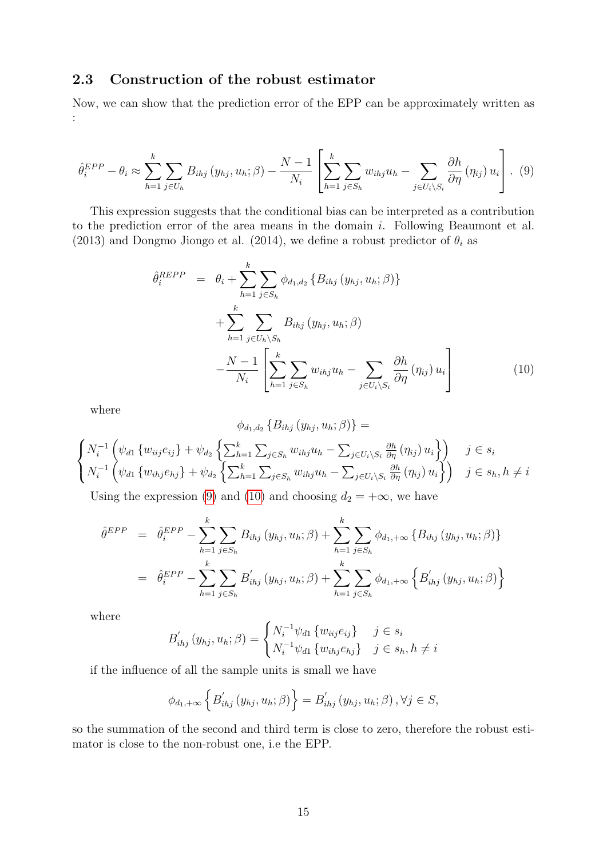### 2.3 Construction of the robust estimator

Now, we can show that the prediction error of the EPP can be approximately written as :

<span id="page-14-0"></span>
$$
\hat{\theta}_i^{EPP} - \theta_i \approx \sum_{h=1}^k \sum_{j \in U_h} B_{ihj} (y_{hj}, u_h; \beta) - \frac{N-1}{N_i} \left[ \sum_{h=1}^k \sum_{j \in S_h} w_{ihj} u_h - \sum_{j \in U_i \backslash S_i} \frac{\partial h}{\partial \eta} (\eta_{ij}) u_i \right].
$$
 (9)

This expression suggests that the conditional bias can be interpreted as a contribution to the prediction error of the area means in the domain i. Following Beaumont et al. (2013) and Dongmo Jiongo et al. (2014), we define a robust predictor of  $\theta_i$  as

<span id="page-14-1"></span>
$$
\hat{\theta}_{i}^{REPP} = \theta_{i} + \sum_{h=1}^{k} \sum_{j \in S_{h}} \phi_{d_{1},d_{2}} \{B_{ihj} (y_{hj}, u_{h}; \beta)\}\n+ \sum_{h=1}^{k} \sum_{j \in U_{h} \setminus S_{h}} B_{ihj} (y_{hj}, u_{h}; \beta)\n- \frac{N-1}{N_{i}} \left[ \sum_{h=1}^{k} \sum_{j \in S_{h}} w_{ihj} u_{h} - \sum_{j \in U_{i} \setminus S_{i}} \frac{\partial h}{\partial \eta} (\eta_{ij}) u_{i} \right]
$$
\n(10)

where

$$
\phi_{d_1,d_2} \{B_{ihj} (y_{hj}, u_h; \beta)\} =
$$
\n
$$
\begin{cases}\nN_i^{-1} \left( \psi_{d1} \{ w_{iij} e_{ij} \} + \psi_{d_2} \left\{ \sum_{h=1}^k \sum_{j \in S_h} w_{ihj} u_h - \sum_{j \in U_i \setminus S_i} \frac{\partial h}{\partial \eta} (\eta_{ij}) u_i \right\} \right) & j \in s_i \\
N_i^{-1} \left( \psi_{d1} \{ w_{ihj} e_{hj} \} + \psi_{d_2} \left\{ \sum_{h=1}^k \sum_{j \in S_h} w_{ihj} u_h - \sum_{j \in U_i \setminus S_i} \frac{\partial h}{\partial \eta} (\eta_{ij}) u_i \right\} \right) & j \in s_h, h \neq i\n\end{cases}
$$

Using the expression [\(9\)](#page-14-0) and [\(10\)](#page-14-1) and choosing  $d_2 = +\infty$ , we have

$$
\hat{\theta}^{EPP} = \hat{\theta}_{i}^{EPP} - \sum_{h=1}^{k} \sum_{j \in S_h} B_{ihj} (y_{hj}, u_h; \beta) + \sum_{h=1}^{k} \sum_{j \in S_h} \phi_{d_1, +\infty} \{B_{ihj} (y_{hj}, u_h; \beta)\}
$$

$$
= \hat{\theta}_{i}^{EPP} - \sum_{h=1}^{k} \sum_{j \in S_h} B'_{ihj} (y_{hj}, u_h; \beta) + \sum_{h=1}^{k} \sum_{j \in S_h} \phi_{d_1, +\infty} \{B'_{ihj} (y_{hj}, u_h; \beta)\}
$$

where

$$
B'_{ihj}(y_{hj}, u_h; \beta) = \begin{cases} N_i^{-1} \psi_{d1} \{w_{iij} e_{ij}\} & j \in s_i \\ N_i^{-1} \psi_{d1} \{w_{ihj} e_{hj}\} & j \in s_h, h \neq i \end{cases}
$$

if the influence of all the sample units is small we have

$$
\phi_{d_1,+\infty}\left\{B'_{ihj}\left(y_{hj},u_h;\beta\right)\right\}=B'_{ihj}\left(y_{hj},u_h;\beta\right),\forall j\in S,
$$

so the summation of the second and third term is close to zero, therefore the robust estimator is close to the non-robust one, i.e the EPP.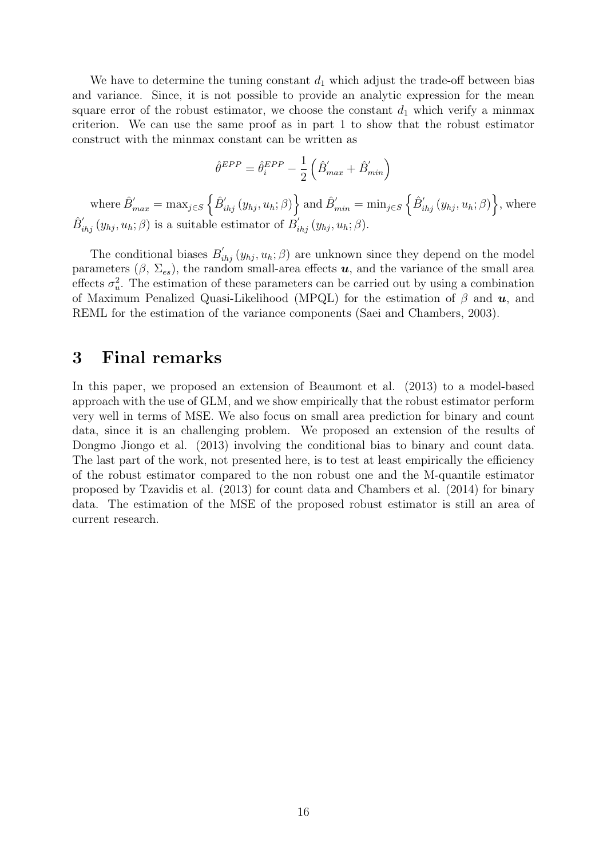We have to determine the tuning constant  $d_1$  which adjust the trade-off between bias and variance. Since, it is not possible to provide an analytic expression for the mean square error of the robust estimator, we choose the constant  $d_1$  which verify a minmax criterion. We can use the same proof as in part 1 to show that the robust estimator construct with the minmax constant can be written as

$$
\hat{\theta}^{EPP} = \hat{\theta}^{EPP}_i - \frac{1}{2}\left(\hat{B}^{'}_{max} + \hat{B}^{'}_{min}\right)
$$

where  $\hat{B}^{\prime}_{max} = \max_{j \in S} \left\{ \hat{B}^{\prime}_{ihj} (y_{hj}, u_h; \beta) \right\}$  and  $\hat{B}^{\prime}_{min} = \min_{j \in S} \left\{ \hat{B}^{\prime}_{ihj} (y_{hj}, u_h; \beta) \right\}$ , where  $\hat{B}_{ihj}'(y_{hj}, u_h; \beta)$  is a suitable estimator of  $B'_{ihj}(y_{hj}, u_h; \beta)$ .

The conditional biases  $B'_{ihj}(y_{hj}, u_h; \beta)$  are unknown since they depend on the model parameters  $(\beta, \Sigma_{es})$ , the random small-area effects u, and the variance of the small area effects  $\sigma_u^2$ . The estimation of these parameters can be carried out by using a combination of Maximum Penalized Quasi-Likelihood (MPQL) for the estimation of  $\beta$  and  $u$ , and REML for the estimation of the variance components (Saei and Chambers, 2003).

## 3 Final remarks

In this paper, we proposed an extension of Beaumont et al. (2013) to a model-based approach with the use of GLM, and we show empirically that the robust estimator perform very well in terms of MSE. We also focus on small area prediction for binary and count data, since it is an challenging problem. We proposed an extension of the results of Dongmo Jiongo et al. (2013) involving the conditional bias to binary and count data. The last part of the work, not presented here, is to test at least empirically the efficiency of the robust estimator compared to the non robust one and the M-quantile estimator proposed by Tzavidis et al. (2013) for count data and Chambers et al. (2014) for binary data. The estimation of the MSE of the proposed robust estimator is still an area of current research.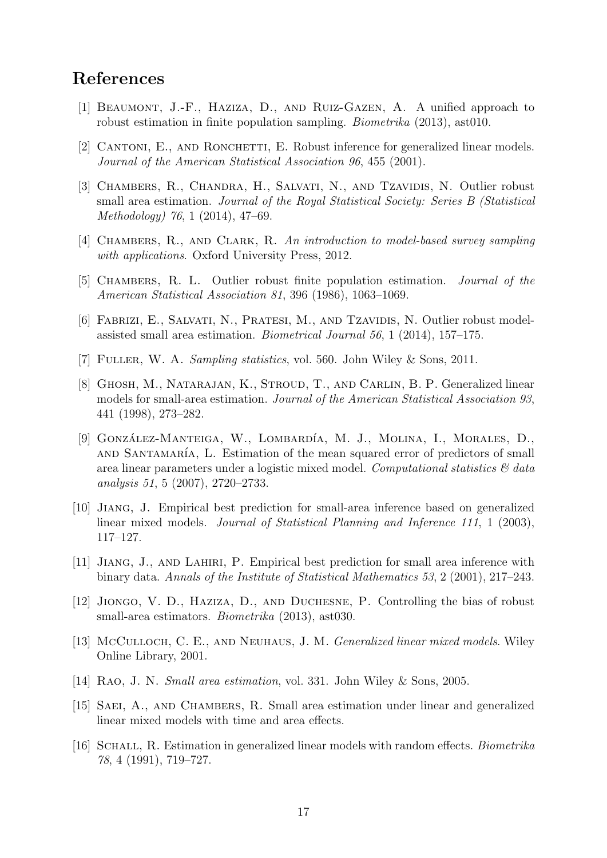## References

- [1] Beaumont, J.-F., Haziza, D., and Ruiz-Gazen, A. A unified approach to robust estimation in finite population sampling. Biometrika (2013), ast010.
- [2] CANTONI, E., AND RONCHETTI, E. Robust inference for generalized linear models. Journal of the American Statistical Association 96, 455 (2001).
- [3] CHAMBERS, R., CHANDRA, H., SALVATI, N., AND TZAVIDIS, N. Outlier robust small area estimation. Journal of the Royal Statistical Society: Series B (Statistical Methodology) 76, 1 (2014), 47–69.
- [4] Chambers, R., and Clark, R. An introduction to model-based survey sampling with applications. Oxford University Press, 2012.
- [5] Chambers, R. L. Outlier robust finite population estimation. Journal of the American Statistical Association 81, 396 (1986), 1063–1069.
- [6] FABRIZI, E., SALVATI, N., PRATESI, M., AND TZAVIDIS, N. Outlier robust modelassisted small area estimation. Biometrical Journal 56, 1 (2014), 157–175.
- [7] Fuller, W. A. Sampling statistics, vol. 560. John Wiley & Sons, 2011.
- [8] Ghosh, M., Natarajan, K., Stroud, T., and Carlin, B. P. Generalized linear models for small-area estimation. Journal of the American Statistical Association 93, 441 (1998), 273–282.
- [9] GONZÁLEZ-MANTEIGA, W., LOMBARDÍA, M. J., MOLINA, I., MORALES, D., AND SANTAMARÍA, L. Estimation of the mean squared error of predictors of small area linear parameters under a logistic mixed model. Computational statistics  $\mathcal{C}$  data analysis 51, 5 (2007), 2720–2733.
- [10] Jiang, J. Empirical best prediction for small-area inference based on generalized linear mixed models. Journal of Statistical Planning and Inference 111, 1 (2003), 117–127.
- [11] Jiang, J., and Lahiri, P. Empirical best prediction for small area inference with binary data. Annals of the Institute of Statistical Mathematics 53, 2 (2001), 217–243.
- [12] Jiongo, V. D., Haziza, D., and Duchesne, P. Controlling the bias of robust small-area estimators. Biometrika (2013), ast030.
- [13] McCulloch, C. E., AND NEUHAUS, J. M. Generalized linear mixed models. Wiley Online Library, 2001.
- [14] Rao, J. N. Small area estimation, vol. 331. John Wiley & Sons, 2005.
- [15] SAEI, A., AND CHAMBERS, R. Small area estimation under linear and generalized linear mixed models with time and area effects.
- [16] SCHALL, R. Estimation in generalized linear models with random effects. *Biometrika* 78, 4 (1991), 719–727.